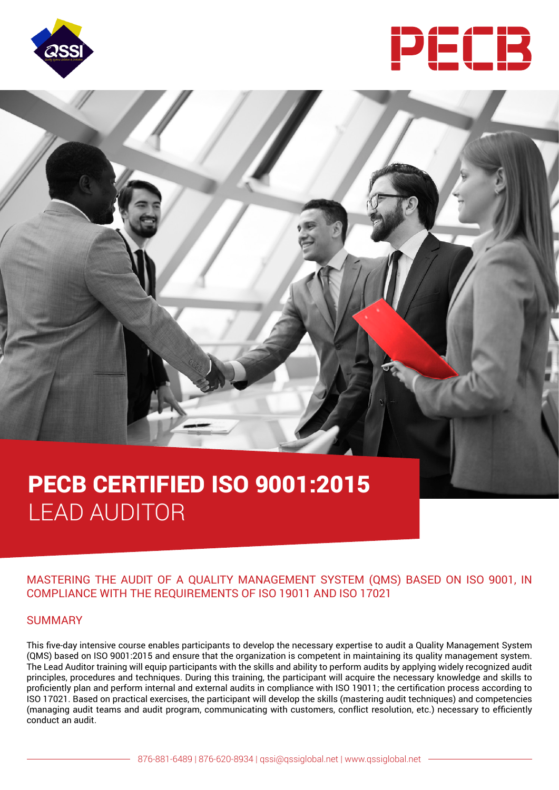



# PECB CERTIFIED ISO 9001:2015 LEAD AUDITOR

# MASTERING THE AUDIT OF A QUALITY MANAGEMENT SYSTEM (QMS) BASED ON ISO 9001, IN COMPLIANCE WITH THE REQUIREMENTS OF ISO 19011 AND ISO 17021

### SUMMARY

This five-day intensive course enables participants to develop the necessary expertise to audit a Quality Management System (QMS) based on ISO 9001:2015 and ensure that the organization is competent in maintaining its quality management system. The Lead Auditor training will equip participants with the skills and ability to perform audits by applying widely recognized audit principles, procedures and techniques. During this training, the participant will acquire the necessary knowledge and skills to proficiently plan and perform internal and external audits in compliance with ISO 19011; the certification process according to ISO 17021. Based on practical exercises, the participant will develop the skills (mastering audit techniques) and competencies (managing audit teams and audit program, communicating with customers, conflict resolution, etc.) necessary to efficiently conduct an audit.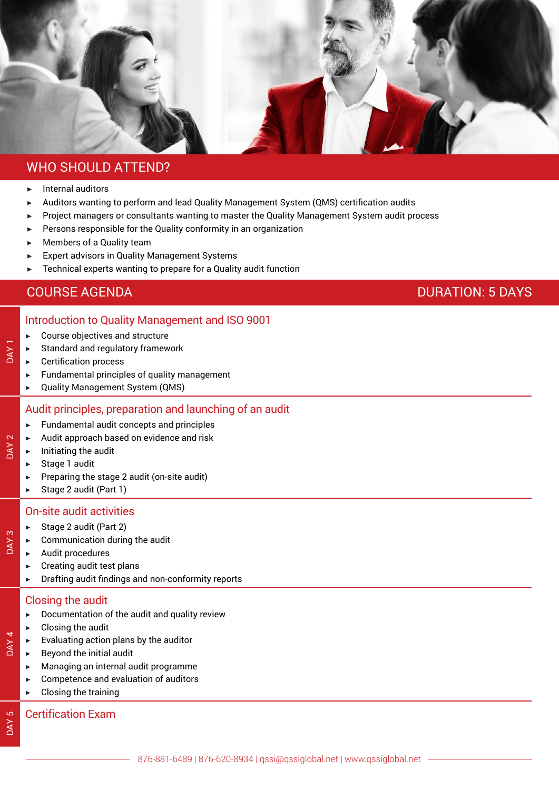

# WHO SHOULD ATTEND?

- ▶ Internal auditors
- Auditors wanting to perform and lead Quality Management System (QMS) certification audits
- ▶ Project managers or consultants wanting to master the Quality Management System audit process
- Persons responsible for the Quality conformity in an organization
- $\blacktriangleright$  Members of a Quality team
- **Expert advisors in Quality Management Systems**
- $\blacktriangleright$  Technical experts wanting to prepare for a Quality audit function

# COURSE AGENDA DURATION: 5 DAYS

### Introduction to Quality Management and ISO 9001

|  | Course objectives and structure |
|--|---------------------------------|
|--|---------------------------------|

- Standard and regulatory framework
- **Certification process**

DAY 1

DAY<sub>2</sub>

DAY<sub>3</sub>

DAY 4

DAY 5

- $\blacktriangleright$  Fundamental principles of quality management
- ▶ Quality Management System (QMS)

#### Audit principles, preparation and launching of an audit

- $\blacktriangleright$  Fundamental audit concepts and principles
- ▶ Audit approach based on evidence and risk
- ▶ Initiating the audit
	- Stage 1 audit
- $\blacktriangleright$  Preparing the stage 2 audit (on-site audit)
- ▶ Stage 2 audit (Part 1)

#### On-site audit activities

- ▶ Stage 2 audit (Part 2)
- Communication during the audit
- ▶ Audit procedures
- Creating audit test plans
- ▶ Drafting audit findings and non-conformity reports

#### Closing the audit

- $\blacktriangleright$  Documentation of the audit and quality review
- $\blacktriangleright$  Closing the audit
- Evaluating action plans by the auditor
- Beyond the initial audit
- ▶ Managing an internal audit programme
- ▶ Competence and evaluation of auditors
- Closing the training

### Certification Exam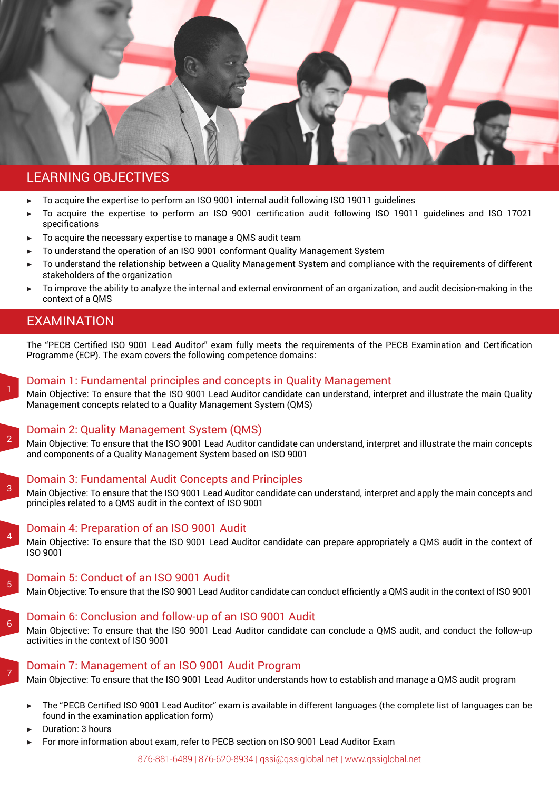

## LEARNING OBJECTIVES

- ▶ To acquire the expertise to perform an ISO 9001 internal audit following ISO 19011 guidelines
- ▶ To acquire the expertise to perform an ISO 9001 certification audit following ISO 19011 quidelines and ISO 17021 specifications
- $\triangleright$  To acquire the necessary expertise to manage a QMS audit team
- To understand the operation of an ISO 9001 conformant Quality Management System
- ▶ To understand the relationship between a Quality Management System and compliance with the requirements of different stakeholders of the organization
- ▶ To improve the ability to analyze the internal and external environment of an organization, and audit decision-making in the context of a QMS

# EXAMINATION

The "PECB Certified ISO 9001 Lead Auditor" exam fully meets the requirements of the PECB Examination and Certification Programme (ECP). The exam covers the following competence domains:

### Domain 1: Fundamental principles and concepts in Quality Management

Main Objective: To ensure that the ISO 9001 Lead Auditor candidate can understand, interpret and illustrate the main Quality Management concepts related to a Quality Management System (QMS)

2

3

6

7

1

### Domain 2: Quality Management System (QMS)

Main Objective: To ensure that the ISO 9001 Lead Auditor candidate can understand, interpret and illustrate the main concepts and components of a Quality Management System based on ISO 9001

#### Domain 3: Fundamental Audit Concepts and Principles

Main Objective: To ensure that the ISO 9001 Lead Auditor candidate can understand, interpret and apply the main concepts and principles related to a QMS audit in the context of ISO 9001

 $\overline{A}$ Domain 4: Preparation of an ISO 9001 Audit

Main Objective: To ensure that the ISO 9001 Lead Auditor candidate can prepare appropriately a QMS audit in the context of ISO 9001

#### 5 Domain 5: Conduct of an ISO 9001 Audit

Main Objective: To ensure that the ISO 9001 Lead Auditor candidate can conduct efficiently a QMS audit in the context of ISO 9001

# Domain 6: Conclusion and follow-up of an ISO 9001 Audit

Main Objective: To ensure that the ISO 9001 Lead Auditor candidate can conclude a QMS audit, and conduct the follow-up activities in the context of ISO 9001

# Domain 7: Management of an ISO 9001 Audit Program

Main Objective: To ensure that the ISO 9001 Lead Auditor understands how to establish and manage a QMS audit program

- The "PECB Certified ISO 9001 Lead Auditor" exam is available in different languages (the complete list of languages can be found in the examination application form)
- Duration: 3 hours
- For more information about exam, refer to PECB section on ISO 9001 Lead Auditor Exam